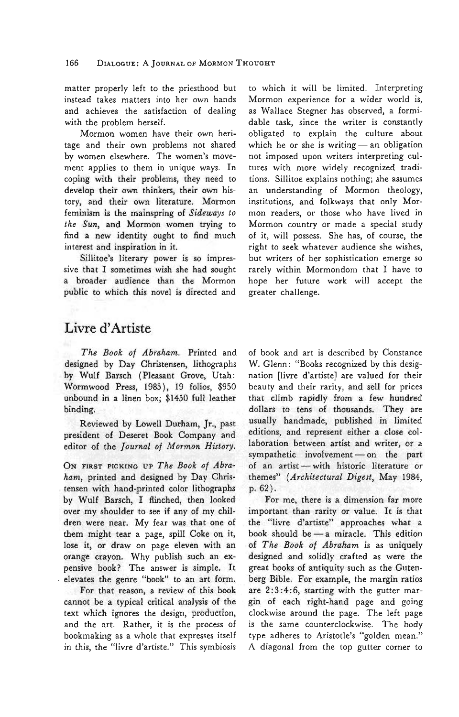matter properly left to the priesthood but instead takes matters into her own hands and achieves the satisfaction of dealing with the problem herself.

Mormon women have their own heritage and their own problems not shared by women elsewhere. The women's movement applies to them in unique ways. In coping with their problems, they need to develop their own thinkers, their own history, and their own literature. Mormon feminism is the mainspring of *Sideways to the Sun,* and Mormon women trying to find a new identity ought to find much interest and inspiration in it.

Sillitoe's literary power is so impressive that I sometimes wish she had sought a broader audience than the Mormon public to which this novel is directed and

Livre d'Artiste

*The Book of Abraham.* Printed and designed by Day Christensen, lithographs by Wulf Barsch (Pleasant Grove, Utah: Wormwood Press, 1985), 19 folios, \$950 unbound in a linen box; \$1450 full leather binding.

Reviewed by Lowell Durham, Jr., past president of Deseret Book Company and editor of the *Journal of Mormon History.*

ON FIRST PICKING UP The Book of Abra*ham,* printed and designed by Day Christensen with hand-printed color lithographs by Wulf Barsch, I flinched, then looked over my shoulder to see if any of my children were near. My fear was that one of them might tear a page, spill Coke on it, lose it, or draw on page eleven with an orange crayon. Why publish such an expensive book? The answer is simple. It elevates the genre "book" to an art form.

For that reason, a review of this book cannot be a typical critical analysis of the text which ignores the design, production, and the art. Rather, it is the process of bookmaking as a whole that expresses itself in this, the "livre d'artiste." This symbiosis to which it will be limited. Interpreting Mormon experience for a wider world is, as Wallace Stegner has observed, a formidable task, since the writer is constantly obligated to explain the culture about which he or she is writing — an obligation not imposed upon writers interpreting cultures with more widely recognized traditions. Sillitoe explains nothing; she assumes an understanding of Mormon theology, institutions, and folkways that only Mormon readers, or those who have lived in Mormon country or made a special study of it, will possess. She has, of course, the right to seek whatever audience she wishes, but writers of her sophistication emerge so rarely within Mormondom that I have to hope her future work will accept the greater challenge.

of book and art is described by Constance W. Glenn: "Books recognized by this designation [livre d'artiste] are valued for their beauty and their rarity, and sell for prices that climb rapidly from a few hundred dollars to tens of thousands. They are usually handmade, published in limited editions, and represent either a close collaboration between artist and writer, or a sympathetic involvement — on the part of an artist — with historic literature or themes" *{Architectural Digest,* May 1984, p. 62).

For me, there is a dimension far more important than rarity or value. It is that the "livre d'artiste" approaches what a book should be — a miracle. This edition of *The Book of Abraham* is as uniquely designed and solidly crafted as were the great books of antiquity such as the Gutenberg Bible. For example, the margin ratios are 2:3:4:6, starting with the gutter margin of each right-hand page and going clockwise around the page. The left page is the same counterclockwise. The body type adheres to Aristotle's "golden mean." A diagonal from the top gutter corner to